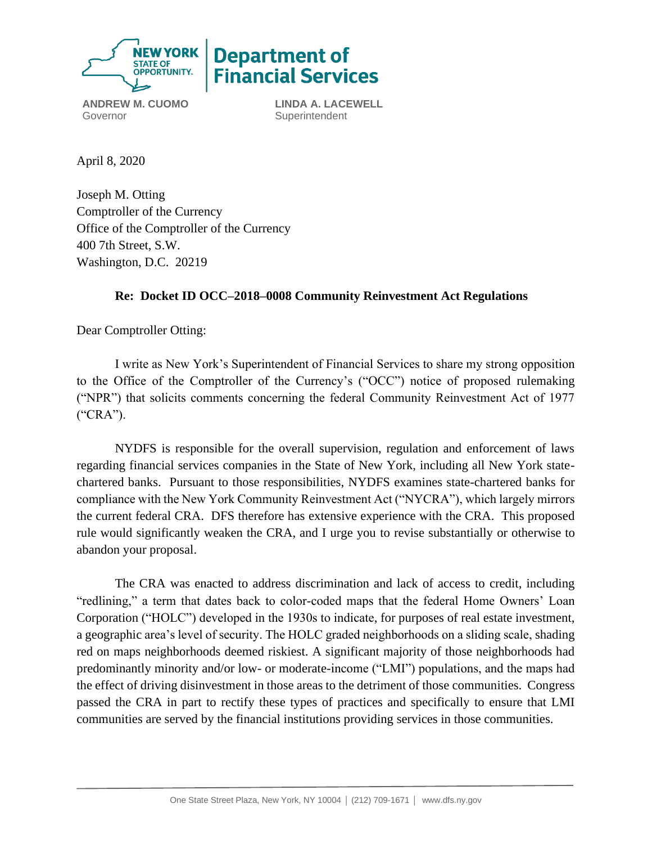

**Department of Financial Services** 

**ANDREW M. CUOMO** Governor

**LINDA A. LACEWELL Superintendent** 

April 8, 2020

Joseph M. Otting Comptroller of the Currency Office of the Comptroller of the Currency 400 7th Street, S.W. Washington, D.C. 20219

# **Re: Docket ID OCC–2018–0008 Community Reinvestment Act Regulations**

Dear Comptroller Otting:

I write as New York's Superintendent of Financial Services to share my strong opposition to the Office of the Comptroller of the Currency's ("OCC") notice of proposed rulemaking ("NPR") that solicits comments concerning the federal Community Reinvestment Act of 1977 ("CRA").

NYDFS is responsible for the overall supervision, regulation and enforcement of laws regarding financial services companies in the State of New York, including all New York statechartered banks. Pursuant to those responsibilities, NYDFS examines state-chartered banks for compliance with the New York Community Reinvestment Act ("NYCRA"), which largely mirrors the current federal CRA. DFS therefore has extensive experience with the CRA. This proposed rule would significantly weaken the CRA, and I urge you to revise substantially or otherwise to abandon your proposal.

The CRA was enacted to address discrimination and lack of access to credit, including "redlining," a term that dates back to color-coded maps that the federal Home Owners' Loan Corporation ("HOLC") developed in the 1930s to indicate, for purposes of real estate investment, a geographic area's level of security. The HOLC graded neighborhoods on a sliding scale, shading red on maps neighborhoods deemed riskiest. A significant majority of those neighborhoods had predominantly minority and/or low- or moderate-income ("LMI") populations, and the maps had the effect of driving disinvestment in those areas to the detriment of those communities. Congress passed the CRA in part to rectify these types of practices and specifically to ensure that LMI communities are served by the financial institutions providing services in those communities.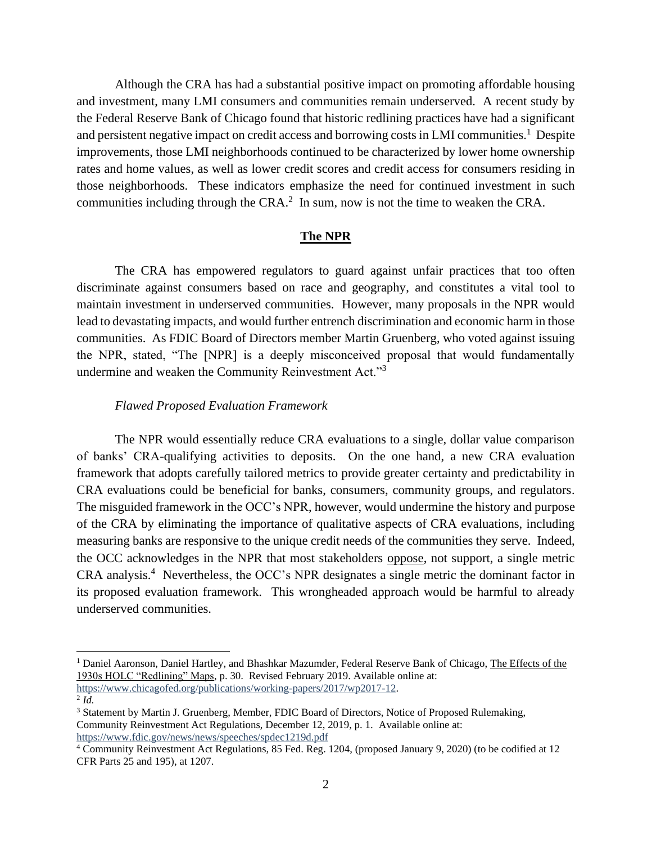Although the CRA has had a substantial positive impact on promoting affordable housing and investment, many LMI consumers and communities remain underserved. A recent study by the Federal Reserve Bank of Chicago found that historic redlining practices have had a significant and persistent negative impact on credit access and borrowing costs in LMI communities.<sup>1</sup> Despite improvements, those LMI neighborhoods continued to be characterized by lower home ownership rates and home values, as well as lower credit scores and credit access for consumers residing in those neighborhoods. These indicators emphasize the need for continued investment in such communities including through the CRA. $<sup>2</sup>$  In sum, now is not the time to weaken the CRA.</sup>

### **The NPR**

The CRA has empowered regulators to guard against unfair practices that too often discriminate against consumers based on race and geography, and constitutes a vital tool to maintain investment in underserved communities. However, many proposals in the NPR would lead to devastating impacts, and would further entrench discrimination and economic harm in those communities. As FDIC Board of Directors member Martin Gruenberg, who voted against issuing the NPR, stated, "The [NPR] is a deeply misconceived proposal that would fundamentally undermine and weaken the Community Reinvestment Act."<sup>3</sup>

## *Flawed Proposed Evaluation Framework*

The NPR would essentially reduce CRA evaluations to a single, dollar value comparison of banks' CRA-qualifying activities to deposits. On the one hand, a new CRA evaluation framework that adopts carefully tailored metrics to provide greater certainty and predictability in CRA evaluations could be beneficial for banks, consumers, community groups, and regulators. The misguided framework in the OCC's NPR, however, would undermine the history and purpose of the CRA by eliminating the importance of qualitative aspects of CRA evaluations, including measuring banks are responsive to the unique credit needs of the communities they serve. Indeed, the OCC acknowledges in the NPR that most stakeholders oppose, not support, a single metric CRA analysis.<sup>4</sup> Nevertheless, the OCC's NPR designates a single metric the dominant factor in its proposed evaluation framework. This wrongheaded approach would be harmful to already underserved communities.

<sup>1</sup> Daniel Aaronson, Daniel Hartley, and Bhashkar Mazumder, Federal Reserve Bank of Chicago, The Effects of the 1930s HOLC "Redlining" Maps, p. 30. Revised February 2019. Available online at: [https://www.chicagofed.org/publications/working-papers/2017/wp2017-12.](https://www.chicagofed.org/publications/working-papers/2017/wp2017-12)

<sup>2</sup> *Id.*

<sup>3</sup> Statement by Martin J. Gruenberg, Member, FDIC Board of Directors, Notice of Proposed Rulemaking, Community Reinvestment Act Regulations, December 12, 2019, p. 1. Available online at: <https://www.fdic.gov/news/news/speeches/spdec1219d.pdf>

<sup>4</sup> Community Reinvestment Act Regulations, 85 Fed. Reg. 1204, (proposed January 9, 2020) (to be codified at 12 CFR Parts 25 and 195), at 1207.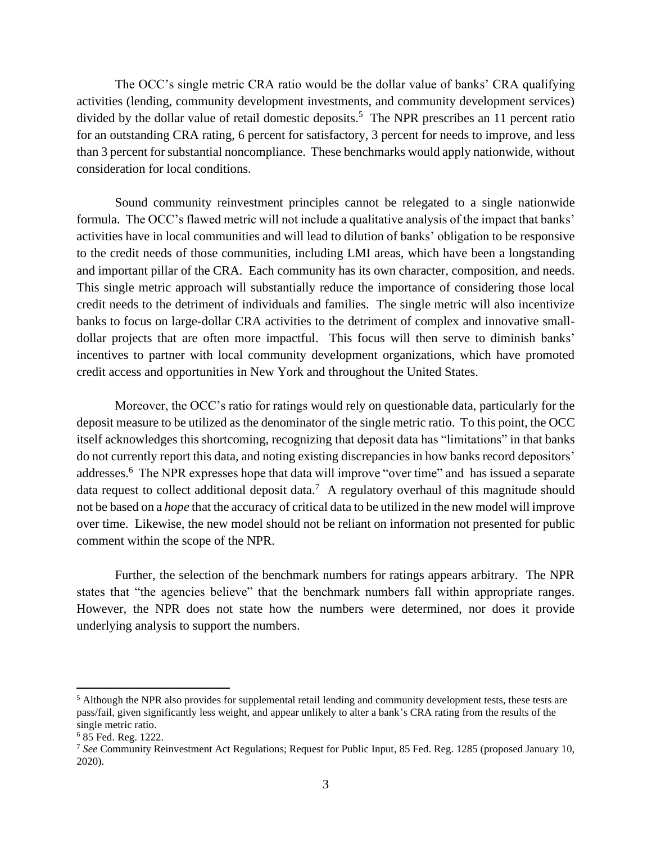The OCC's single metric CRA ratio would be the dollar value of banks' CRA qualifying activities (lending, community development investments, and community development services) divided by the dollar value of retail domestic deposits.<sup>5</sup> The NPR prescribes an 11 percent ratio for an outstanding CRA rating, 6 percent for satisfactory, 3 percent for needs to improve, and less than 3 percent for substantial noncompliance. These benchmarks would apply nationwide, without consideration for local conditions.

Sound community reinvestment principles cannot be relegated to a single nationwide formula. The OCC's flawed metric will not include a qualitative analysis of the impact that banks' activities have in local communities and will lead to dilution of banks' obligation to be responsive to the credit needs of those communities, including LMI areas, which have been a longstanding and important pillar of the CRA. Each community has its own character, composition, and needs. This single metric approach will substantially reduce the importance of considering those local credit needs to the detriment of individuals and families. The single metric will also incentivize banks to focus on large-dollar CRA activities to the detriment of complex and innovative smalldollar projects that are often more impactful. This focus will then serve to diminish banks' incentives to partner with local community development organizations, which have promoted credit access and opportunities in New York and throughout the United States.

Moreover, the OCC's ratio for ratings would rely on questionable data, particularly for the deposit measure to be utilized as the denominator of the single metric ratio. To this point, the OCC itself acknowledges this shortcoming, recognizing that deposit data has "limitations" in that banks do not currently report this data, and noting existing discrepancies in how banks record depositors' addresses.<sup>6</sup> The NPR expresses hope that data will improve "over time" and has issued a separate data request to collect additional deposit data.<sup>7</sup> A regulatory overhaul of this magnitude should not be based on a *hope* that the accuracy of critical data to be utilized in the new model will improve over time. Likewise, the new model should not be reliant on information not presented for public comment within the scope of the NPR.

Further, the selection of the benchmark numbers for ratings appears arbitrary. The NPR states that "the agencies believe" that the benchmark numbers fall within appropriate ranges. However, the NPR does not state how the numbers were determined, nor does it provide underlying analysis to support the numbers.

<sup>&</sup>lt;sup>5</sup> Although the NPR also provides for supplemental retail lending and community development tests, these tests are pass/fail, given significantly less weight, and appear unlikely to alter a bank's CRA rating from the results of the single metric ratio.

<sup>6</sup> 85 Fed. Reg. 1222.

<sup>7</sup> *See* Community Reinvestment Act Regulations; Request for Public Input, 85 Fed. Reg. 1285 (proposed January 10, 2020).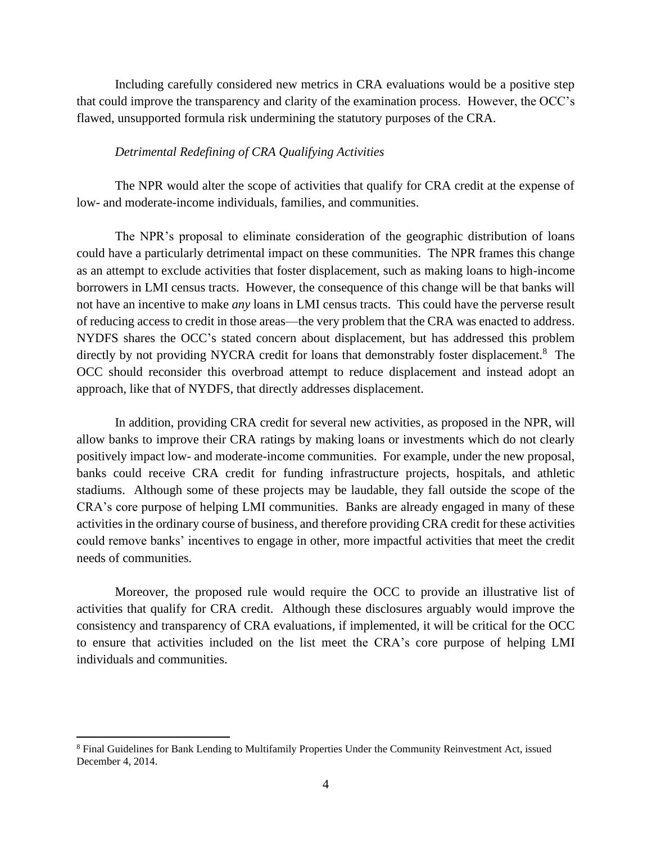Including carefully considered new metrics in CRA evaluations would be a positive step that could improve the transparency and clarity of the examination process. However, the OCC's flawed, unsupported formula risk undermining the statutory purposes of the CRA.

## *Detrimental Redefining of CRA Qualifying Activities*

The NPR would alter the scope of activities that qualify for CRA credit at the expense of low- and moderate-income individuals, families, and communities.

The NPR's proposal to eliminate consideration of the geographic distribution of loans could have a particularly detrimental impact on these communities. The NPR frames this change as an attempt to exclude activities that foster displacement, such as making loans to high-income borrowers in LMI census tracts. However, the consequence of this change will be that banks will not have an incentive to make *any* loans in LMI census tracts. This could have the perverse result of reducing access to credit in those areas—the very problem that the CRA was enacted to address. NYDFS shares the OCC's stated concern about displacement, but has addressed this problem directly by not providing NYCRA credit for loans that demonstrably foster displacement.<sup>8</sup> The OCC should reconsider this overbroad attempt to reduce displacement and instead adopt an approach, like that of NYDFS, that directly addresses displacement.

In addition, providing CRA credit for several new activities, as proposed in the NPR, will allow banks to improve their CRA ratings by making loans or investments which do not clearly positively impact low- and moderate-income communities. For example, under the new proposal, banks could receive CRA credit for funding infrastructure projects, hospitals, and athletic stadiums. Although some of these projects may be laudable, they fall outside the scope of the CRA's core purpose of helping LMI communities. Banks are already engaged in many of these activities in the ordinary course of business, and therefore providing CRA credit for these activities could remove banks' incentives to engage in other, more impactful activities that meet the credit needs of communities.

Moreover, the proposed rule would require the OCC to provide an illustrative list of activities that qualify for CRA credit. Although these disclosures arguably would improve the consistency and transparency of CRA evaluations, if implemented, it will be critical for the OCC to ensure that activities included on the list meet the CRA's core purpose of helping LMI individuals and communities.

<sup>&</sup>lt;sup>8</sup> Final Guidelines for Bank Lending to Multifamily Properties Under the Community Reinvestment Act, issued December 4, 2014.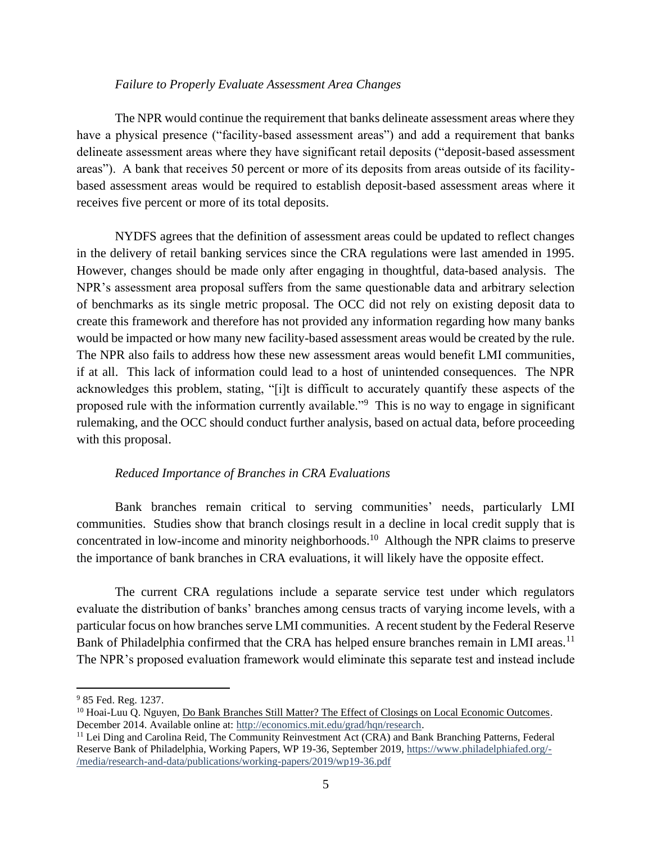### *Failure to Properly Evaluate Assessment Area Changes*

The NPR would continue the requirement that banks delineate assessment areas where they have a physical presence ("facility-based assessment areas") and add a requirement that banks delineate assessment areas where they have significant retail deposits ("deposit-based assessment areas"). A bank that receives 50 percent or more of its deposits from areas outside of its facilitybased assessment areas would be required to establish deposit-based assessment areas where it receives five percent or more of its total deposits.

NYDFS agrees that the definition of assessment areas could be updated to reflect changes in the delivery of retail banking services since the CRA regulations were last amended in 1995. However, changes should be made only after engaging in thoughtful, data-based analysis. The NPR's assessment area proposal suffers from the same questionable data and arbitrary selection of benchmarks as its single metric proposal. The OCC did not rely on existing deposit data to create this framework and therefore has not provided any information regarding how many banks would be impacted or how many new facility-based assessment areas would be created by the rule. The NPR also fails to address how these new assessment areas would benefit LMI communities, if at all. This lack of information could lead to a host of unintended consequences. The NPR acknowledges this problem, stating, "[i]t is difficult to accurately quantify these aspects of the proposed rule with the information currently available."<sup>9</sup> This is no way to engage in significant rulemaking, and the OCC should conduct further analysis, based on actual data, before proceeding with this proposal.

## *Reduced Importance of Branches in CRA Evaluations*

Bank branches remain critical to serving communities' needs, particularly LMI communities. Studies show that branch closings result in a decline in local credit supply that is concentrated in low-income and minority neighborhoods.<sup>10</sup> Although the NPR claims to preserve the importance of bank branches in CRA evaluations, it will likely have the opposite effect.

The current CRA regulations include a separate service test under which regulators evaluate the distribution of banks' branches among census tracts of varying income levels, with a particular focus on how branches serve LMI communities. A recent student by the Federal Reserve Bank of Philadelphia confirmed that the CRA has helped ensure branches remain in LMI areas.<sup>11</sup> The NPR's proposed evaluation framework would eliminate this separate test and instead include

<sup>9</sup> 85 Fed. Reg. 1237.

<sup>&</sup>lt;sup>10</sup> Hoai-Luu Q. Nguyen, Do Bank Branches Still Matter? The Effect of Closings on Local Economic Outcomes. December 2014. Available online at: [http://economics.mit.edu/grad/hqn/research.](http://economics.mit.edu/grad/hqn/research)

<sup>&</sup>lt;sup>11</sup> Lei Ding and Carolina Reid, The Community Reinvestment Act (CRA) and Bank Branching Patterns, Federal Reserve Bank of Philadelphia, Working Papers, WP 19-36, September 2019, [https://www.philadelphiafed.org/-](https://www.philadelphiafed.org/-/media/research-and-data/publications/working-papers/2019/wp19-36.pdf) [/media/research-and-data/publications/working-papers/2019/wp19-36.pdf](https://www.philadelphiafed.org/-/media/research-and-data/publications/working-papers/2019/wp19-36.pdf)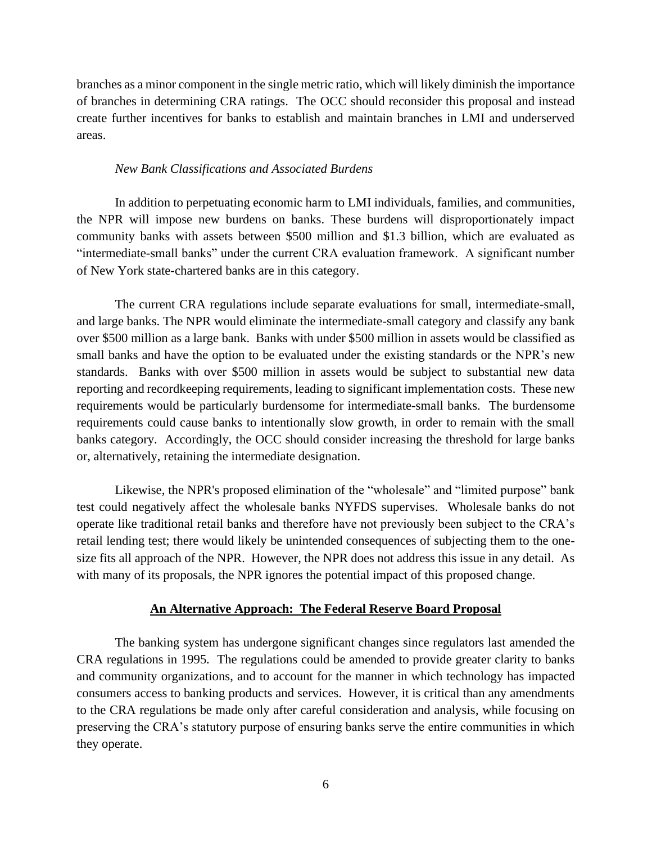branches as a minor component in the single metric ratio, which will likely diminish the importance of branches in determining CRA ratings. The OCC should reconsider this proposal and instead create further incentives for banks to establish and maintain branches in LMI and underserved areas.

## *New Bank Classifications and Associated Burdens*

In addition to perpetuating economic harm to LMI individuals, families, and communities, the NPR will impose new burdens on banks. These burdens will disproportionately impact community banks with assets between \$500 million and \$1.3 billion, which are evaluated as "intermediate-small banks" under the current CRA evaluation framework. A significant number of New York state-chartered banks are in this category.

The current CRA regulations include separate evaluations for small, intermediate-small, and large banks. The NPR would eliminate the intermediate-small category and classify any bank over \$500 million as a large bank. Banks with under \$500 million in assets would be classified as small banks and have the option to be evaluated under the existing standards or the NPR's new standards. Banks with over \$500 million in assets would be subject to substantial new data reporting and recordkeeping requirements, leading to significant implementation costs. These new requirements would be particularly burdensome for intermediate-small banks. The burdensome requirements could cause banks to intentionally slow growth, in order to remain with the small banks category. Accordingly, the OCC should consider increasing the threshold for large banks or, alternatively, retaining the intermediate designation.

Likewise, the NPR's proposed elimination of the "wholesale" and "limited purpose" bank test could negatively affect the wholesale banks NYFDS supervises. Wholesale banks do not operate like traditional retail banks and therefore have not previously been subject to the CRA's retail lending test; there would likely be unintended consequences of subjecting them to the onesize fits all approach of the NPR. However, the NPR does not address this issue in any detail. As with many of its proposals, the NPR ignores the potential impact of this proposed change.

### **An Alternative Approach: The Federal Reserve Board Proposal**

The banking system has undergone significant changes since regulators last amended the CRA regulations in 1995. The regulations could be amended to provide greater clarity to banks and community organizations, and to account for the manner in which technology has impacted consumers access to banking products and services. However, it is critical than any amendments to the CRA regulations be made only after careful consideration and analysis, while focusing on preserving the CRA's statutory purpose of ensuring banks serve the entire communities in which they operate.